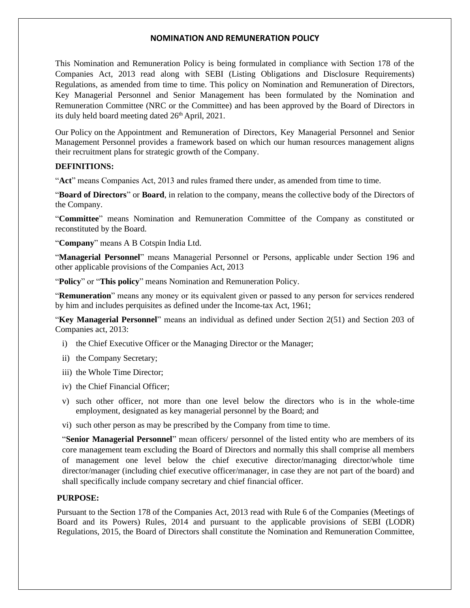This Nomination and Remuneration Policy is being formulated in compliance with Section 178 of the Companies Act, 2013 read along with SEBI (Listing Obligations and Disclosure Requirements) Regulations, as amended from time to time. This policy on Nomination and Remuneration of Directors, Key Managerial Personnel and Senior Management has been formulated by the Nomination and Remuneration Committee (NRC or the Committee) and has been approved by the Board of Directors in its duly held board meeting dated  $26<sup>th</sup>$  April, 2021.

Our Policy on the Appointment and Remuneration of Directors, Key Managerial Personnel and Senior Management Personnel provides a framework based on which our human resources management aligns their recruitment plans for strategic growth of the Company.

#### **DEFINITIONS:**

"**Act**" means Companies Act, 2013 and rules framed there under, as amended from time to time.

"**Board of Directors**" or **Board**, in relation to the company, means the collective body of the Directors of the Company.

"**Committee**" means Nomination and Remuneration Committee of the Company as constituted or reconstituted by the Board.

"**Company**" means A B Cotspin India Ltd.

"**Managerial Personnel**" means Managerial Personnel or Persons, applicable under Section 196 and other applicable provisions of the Companies Act, 2013

"**Policy**" or "**This policy**" means Nomination and Remuneration Policy.

"**Remuneration**" means any money or its equivalent given or passed to any person for services rendered by him and includes perquisites as defined under the Income-tax Act, 1961;

"**Key Managerial Personnel**" means an individual as defined under Section 2(51) and Section 203 of Companies act, 2013:

- i) the Chief Executive Officer or the Managing Director or the Manager;
- ii) the Company Secretary;
- iii) the Whole Time Director;
- iv) the Chief Financial Officer;
- v) such other officer, not more than one level below the directors who is in the whole-time employment, designated as key managerial personnel by the Board; and

vi) such other person as may be prescribed by the Company from time to time.

"**Senior Managerial Personnel**" mean officers/ personnel of the listed entity who are members of its core management team excluding the Board of Directors and normally this shall comprise all members of management one level below the chief executive director/managing director/whole time director/manager (including chief executive officer/manager, in case they are not part of the board) and shall specifically include company secretary and chief financial officer.

### **PURPOSE:**

Pursuant to the Section 178 of the Companies Act, 2013 read with Rule 6 of the Companies (Meetings of Board and its Powers) Rules, 2014 and pursuant to the applicable provisions of SEBI (LODR) Regulations, 2015, the Board of Directors shall constitute the Nomination and Remuneration Committee,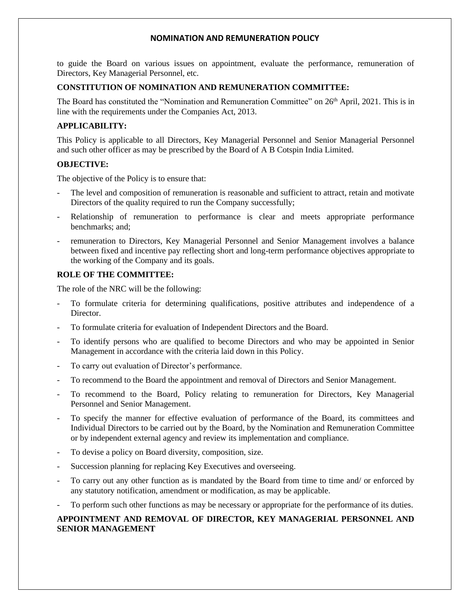to guide the Board on various issues on appointment, evaluate the performance, remuneration of Directors, Key Managerial Personnel, etc.

## **CONSTITUTION OF NOMINATION AND REMUNERATION COMMITTEE:**

The Board has constituted the "Nomination and Remuneration Committee" on 26<sup>th</sup> April, 2021. This is in line with the requirements under the Companies Act, 2013.

## **APPLICABILITY:**

This Policy is applicable to all Directors, Key Managerial Personnel and Senior Managerial Personnel and such other officer as may be prescribed by the Board of A B Cotspin India Limited.

## **OBJECTIVE:**

The objective of the Policy is to ensure that:

- The level and composition of remuneration is reasonable and sufficient to attract, retain and motivate Directors of the quality required to run the Company successfully;
- Relationship of remuneration to performance is clear and meets appropriate performance benchmarks; and;
- remuneration to Directors, Key Managerial Personnel and Senior Management involves a balance between fixed and incentive pay reflecting short and long-term performance objectives appropriate to the working of the Company and its goals.

## **ROLE OF THE COMMITTEE:**

The role of the NRC will be the following:

- To formulate criteria for determining qualifications, positive attributes and independence of a Director.
- To formulate criteria for evaluation of Independent Directors and the Board.
- To identify persons who are qualified to become Directors and who may be appointed in Senior Management in accordance with the criteria laid down in this Policy.
- To carry out evaluation of Director's performance.
- To recommend to the Board the appointment and removal of Directors and Senior Management.
- To recommend to the Board, Policy relating to remuneration for Directors, Key Managerial Personnel and Senior Management.
- To specify the manner for effective evaluation of performance of the Board, its committees and Individual Directors to be carried out by the Board, by the Nomination and Remuneration Committee or by independent external agency and review its implementation and compliance.
- To devise a policy on Board diversity, composition, size.
- Succession planning for replacing Key Executives and overseeing.
- To carry out any other function as is mandated by the Board from time to time and/ or enforced by any statutory notification, amendment or modification, as may be applicable.
- To perform such other functions as may be necessary or appropriate for the performance of its duties.

## **APPOINTMENT AND REMOVAL OF DIRECTOR, KEY MANAGERIAL PERSONNEL AND SENIOR MANAGEMENT**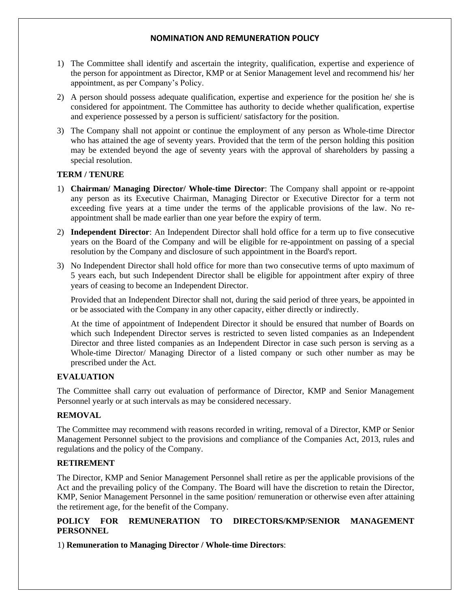- 1) The Committee shall identify and ascertain the integrity, qualification, expertise and experience of the person for appointment as Director, KMP or at Senior Management level and recommend his/ her appointment, as per Company's Policy.
- 2) A person should possess adequate qualification, expertise and experience for the position he/ she is considered for appointment. The Committee has authority to decide whether qualification, expertise and experience possessed by a person is sufficient/ satisfactory for the position.
- 3) The Company shall not appoint or continue the employment of any person as Whole-time Director who has attained the age of seventy years. Provided that the term of the person holding this position may be extended beyond the age of seventy years with the approval of shareholders by passing a special resolution.

### **TERM / TENURE**

- 1) **Chairman/ Managing Director/ Whole-time Director**: The Company shall appoint or re-appoint any person as its Executive Chairman, Managing Director or Executive Director for a term not exceeding five years at a time under the terms of the applicable provisions of the law. No reappointment shall be made earlier than one year before the expiry of term.
- 2) **Independent Director**: An Independent Director shall hold office for a term up to five consecutive years on the Board of the Company and will be eligible for re-appointment on passing of a special resolution by the Company and disclosure of such appointment in the Board's report.
- 3) No Independent Director shall hold office for more than two consecutive terms of upto maximum of 5 years each, but such Independent Director shall be eligible for appointment after expiry of three years of ceasing to become an Independent Director.

Provided that an Independent Director shall not, during the said period of three years, be appointed in or be associated with the Company in any other capacity, either directly or indirectly.

At the time of appointment of Independent Director it should be ensured that number of Boards on which such Independent Director serves is restricted to seven listed companies as an Independent Director and three listed companies as an Independent Director in case such person is serving as a Whole-time Director/ Managing Director of a listed company or such other number as may be prescribed under the Act.

### **EVALUATION**

The Committee shall carry out evaluation of performance of Director, KMP and Senior Management Personnel yearly or at such intervals as may be considered necessary.

### **REMOVAL**

The Committee may recommend with reasons recorded in writing, removal of a Director, KMP or Senior Management Personnel subject to the provisions and compliance of the Companies Act, 2013, rules and regulations and the policy of the Company.

### **RETIREMENT**

The Director, KMP and Senior Management Personnel shall retire as per the applicable provisions of the Act and the prevailing policy of the Company. The Board will have the discretion to retain the Director, KMP, Senior Management Personnel in the same position/ remuneration or otherwise even after attaining the retirement age, for the benefit of the Company.

# **POLICY FOR REMUNERATION TO DIRECTORS/KMP/SENIOR MANAGEMENT PERSONNEL**

1) **Remuneration to Managing Director / Whole-time Directors**: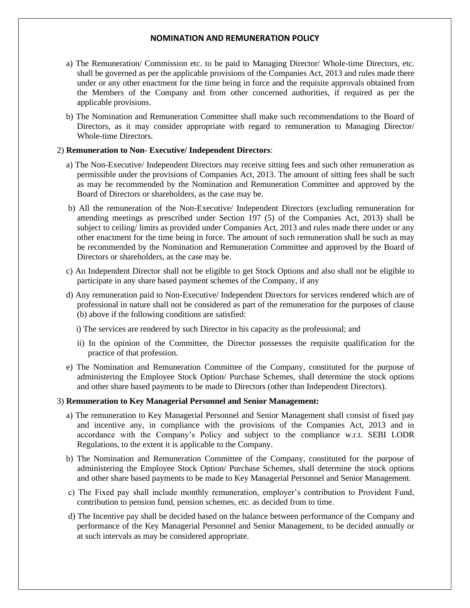- a) The Remuneration/ Commission etc. to be paid to Managing Director/ Whole-time Directors, etc. shall be governed as per the applicable provisions of the Companies Act, 2013 and rules made there under or any other enactment for the time being in force and the requisite approvals obtained from the Members of the Company and from other concerned authorities, if required as per the applicable provisions.
- b) The Nomination and Remuneration Committee shall make such recommendations to the Board of Directors, as it may consider appropriate with regard to remuneration to Managing Director/ Whole-time Directors.

#### 2) **Remuneration to Non- Executive/ Independent Directors**:

- a) The Non-Executive/ Independent Directors may receive sitting fees and such other remuneration as permissible under the provisions of Companies Act, 2013. The amount of sitting fees shall be such as may be recommended by the Nomination and Remuneration Committee and approved by the Board of Directors or shareholders, as the case may be.
- b) All the remuneration of the Non-Executive/ Independent Directors (excluding remuneration for attending meetings as prescribed under Section 197 (5) of the Companies Act, 2013) shall be subject to ceiling/ limits as provided under Companies Act, 2013 and rules made there under or any other enactment for the time being in force. The amount of such remuneration shall be such as may be recommended by the Nomination and Remuneration Committee and approved by the Board of Directors or shareholders, as the case may be.
- c) An Independent Director shall not be eligible to get Stock Options and also shall not be eligible to participate in any share based payment schemes of the Company, if any
- d) Any remuneration paid to Non-Executive/ Independent Directors for services rendered which are of professional in nature shall not be considered as part of the remuneration for the purposes of clause (b) above if the following conditions are satisfied:

i) The services are rendered by such Director in his capacity as the professional; and

- ii) In the opinion of the Committee, the Director possesses the requisite qualification for the practice of that profession.
- e) The Nomination and Remuneration Committee of the Company, constituted for the purpose of administering the Employee Stock Option/ Purchase Schemes, shall determine the stock options and other share based payments to be made to Directors (other than Independent Directors).

#### 3) **Remuneration to Key Managerial Personnel and Senior Management:**

- a) The remuneration to Key Managerial Personnel and Senior Management shall consist of fixed pay and incentive any, in compliance with the provisions of the Companies Act, 2013 and in accordance with the Company's Policy and subject to the compliance w.r.t. SEBI LODR Regulations, to the extent it is applicable to the Company.
- b) The Nomination and Remuneration Committee of the Company, constituted for the purpose of administering the Employee Stock Option/ Purchase Schemes, shall determine the stock options and other share based payments to be made to Key Managerial Personnel and Senior Management.
- c) The Fixed pay shall include monthly remuneration, employer's contribution to Provident Fund, contribution to pension fund, pension schemes, etc. as decided from to time.
- d) The Incentive pay shall be decided based on the balance between performance of the Company and performance of the Key Managerial Personnel and Senior Management, to be decided annually or at such intervals as may be considered appropriate.